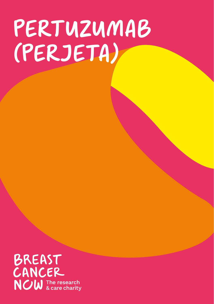# PERTUZUMAB (PERJETA)

BREAST<br>CANCER **NOW** The research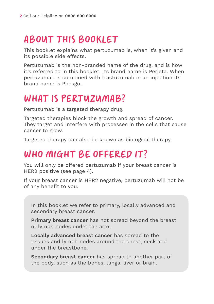### ABOUT THIS BOOKLET

This booklet explains what pertuzumab is, when it's given and its possible side effects.

Pertuzumab is the non-branded name of the drug, and is how it's referred to in this booklet. Its brand name is Perjeta. When pertuzumab is combined with trastuzumab in an injection its brand name is Phesgo.

### WHAT IS PERTUZUMAB?

Pertuzumab is a targeted therapy drug.

Targeted therapies block the growth and spread of cancer. They target and interfere with processes in the cells that cause cancer to grow.

Targeted therapy can also be known as biological therapy.

### WHO MIGHT BE OFFERED IT?

You will only be offered pertuzumab if your breast cancer is HER2 positive (see page 4).

If your breast cancer is HER2 negative, pertuzumab will not be of any benefit to you.

In this booklet we refer to primary, locally advanced and secondary breast cancer.

**Primary breast cancer** has not spread beyond the breast or lymph nodes under the arm.

**Locally advanced breast cancer** has spread to the tissues and lymph nodes around the chest, neck and under the breastbone.

**Secondary breast cancer** has spread to another part of the body, such as the bones, lungs, liver or brain.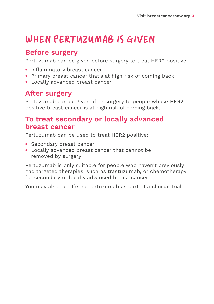### WHEN PERTUZUMAB IS GIVEN

#### **Before surgery**

Pertuzumab can be given before surgery to treat HER2 positive:

- **•** Inflammatory breast cancer
- **•** Primary breast cancer that's at high risk of coming back
- **•** Locally advanced breast cancer

#### **After surgery**

Pertuzumab can be given after surgery to people whose HER2 positive breast cancer is at high risk of coming back.

#### **To treat secondary or locally advanced breast cancer**

Pertuzumab can be used to treat HER2 positive:

- **•** Secondary breast cancer
- **•** Locally advanced breast cancer that cannot be removed by surgery

Pertuzumab is only suitable for people who haven't previously had targeted therapies, such as trastuzumab, or chemotherapy for secondary or locally advanced breast cancer.

You may also be offered pertuzumab as part of a clinical trial.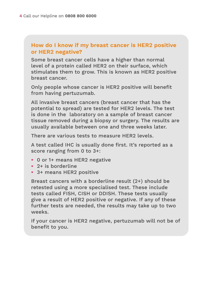#### **How do I know if my breast cancer is HER2 positive or HER2 negative?**

Some breast cancer cells have a higher than normal level of a protein called HER2 on their surface, which stimulates them to grow. This is known as HER2 positive breast cancer.

Only people whose cancer is HER2 positive will benefit from having pertuzumab.

All invasive breast cancers (breast cancer that has the potential to spread) are tested for HER2 levels. The test is done in the laboratory on a sample of breast cancer tissue removed during a biopsy or surgery. The results are usually available between one and three weeks later.

There are various tests to measure HER2 levels.

A test called IHC is usually done first. It's reported as a score ranging from 0 to 3+:

- **•** 0 or 1+ means HER2 negative
- **•** 2+ is borderline
- **•** 3+ means HER2 positive

Breast cancers with a borderline result (2+) should be retested using a more specialised test. These include tests called FISH, CISH or DDISH. These tests usually give a result of HER2 positive or negative. If any of these further tests are needed, the results may take up to two weeks.

If your cancer is HER2 negative, pertuzumab will not be of benefit to you.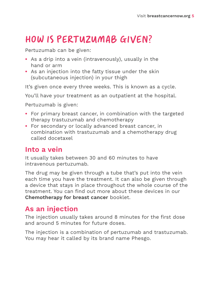### HOW IS PERTUZUMAB GIVEN?

Pertuzumab can be given:

- **•** As a drip into a vein (intravenously), usually in the hand or arm
- **•** As an injection into the fatty tissue under the skin (subcutaneous injection) in your thigh

It's given once every three weeks. This is known as a cycle.

You'll have your treatment as an outpatient at the hospital.

Pertuzumab is given:

- **•** For primary breast cancer, in combination with the targeted therapy trastuzumab and chemotherapy
- **•** For secondary or locally advanced breast cancer, in combination with trastuzumab and a chemotherapy drug called docetaxel

#### **Into a vein**

It usually takes between 30 and 60 minutes to have intravenous pertuzumab.

The drug may be given through a tube that's put into the vein each time you have the treatment. It can also be given through a device that stays in place throughout the whole course of the treatment. You can find out more about these devices in our **Chemotherapy for breast cancer** booklet.

#### **As an injection**

The injection usually takes around 8 minutes for the first dose and around 5 minutes for future doses.

The injection is a combination of pertuzumab and trastuzumab. You may hear it called by its brand name Phesgo.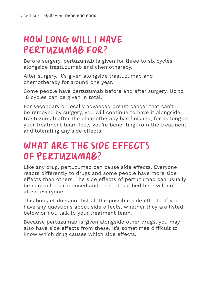### HOW LONG WILL I HAVE PERTUZUMAB FOR?

Before surgery, pertuzumab is given for three to six cycles alongside trastuzumab and chemotherapy.

After surgery, it's given alongside trastuzumab and chemotherapy for around one year.

Some people have pertuzumab before and after surgery. Up to 18 cycles can be given in total.

For secondary or locally advanced breast cancer that can't be removed by surgery, you will continue to have it alongside trastuzumab after the chemotherapy has finished, for as long as your treatment team feels you're benefiting from the treatment and tolerating any side effects.

### WHAT ARE THE SIDE EFFECTS OF PERTUZUMAB?

Like any drug, pertuzumab can cause side effects. Everyone reacts differently to drugs and some people have more side effects than others. The side effects of pertuzumab can usually be controlled or reduced and those described here will not affect everyone.

This booklet does not list all the possible side effects. If you have any questions about side effects, whether they are listed below or not, talk to your treatment team.

Because pertuzumab is given alongside other drugs, you may also have side effects from these. It's sometimes difficult to know which drug causes which side effects.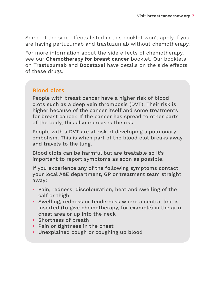Some of the side effects listed in this booklet won't apply if you are having pertuzumab and trastuzumab without chemotherapy.

For more information about the side effects of chemotherapy, see our **Chemotherapy for breast cancer** booklet. Our booklets on **Trastuzumab** and **Docetaxel** have details on the side effects of these drugs.

#### **Blood clots**

People with breast cancer have a higher risk of blood clots such as a deep vein thrombosis (DVT). Their risk is higher because of the cancer itself and some treatments for breast cancer. If the cancer has spread to other parts of the body, this also increases the risk.

People with a DVT are at risk of developing a pulmonary embolism. This is when part of the blood clot breaks away and travels to the lung.

Blood clots can be harmful but are treatable so it's important to report symptoms as soon as possible.

If you experience any of the following symptoms contact your local A&E department, GP or treatment team straight away:

- **•** Pain, redness, discolouration, heat and swelling of the calf or thigh
- **•** Swelling, redness or tenderness where a central line is inserted (to give chemotherapy, for example) in the arm, chest area or up into the neck
- **•** Shortness of breath
- **•** Pain or tightness in the chest
- **•** Unexplained cough or coughing up blood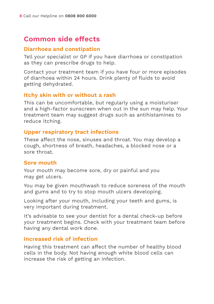#### **Common side effects**

#### **Diarrhoea and constipation**

Tell your specialist or GP if you have diarrhoea or constipation as they can prescribe drugs to help.

Contact your treatment team if you have four or more episodes of diarrhoea within 24 hours. Drink plenty of fluids to avoid getting dehydrated.

#### **Itchy skin with or without a rash**

This can be uncomfortable, but regularly using a moisturiser and a high-factor sunscreen when out in the sun may help. Your treatment team may suggest drugs such as antihistamines to reduce itching.

#### **Upper respiratory tract infections**

These affect the nose, sinuses and throat. You may develop a cough, shortness of breath, headaches, a blocked nose or a sore throat.

#### **Sore mouth**

Your mouth may become sore, dry or painful and you may get ulcers.

You may be given mouthwash to reduce soreness of the mouth and gums and to try to stop mouth ulcers developing.

Looking after your mouth, including your teeth and gums, is very important during treatment.

It's advisable to see your dentist for a dental check-up before your treatment begins. Check with your treatment team before having any dental work done.

#### **Increased risk of infection**

Having this treatment can affect the number of healthy blood cells in the body. Not having enough white blood cells can increase the risk of getting an infection.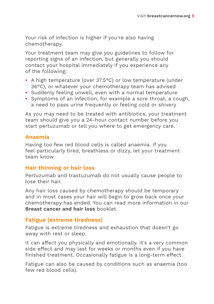Your risk of infection is higher if you're also having chemotherapy.

Your treatment team may give you guidelines to follow for reporting signs of an infection, but generally you should contact your hospital immediately if you experience any of the following:

- **•** A high temperature (over 37.5°C) or low temperature (under 36°C), or whatever your chemotherapy team has advised
- **•** Suddenly feeling unwell, even with a normal temperature
- **•** Symptoms of an infection, for example a sore throat, a cough, a need to pass urine frequently or feeling cold or shivery

As you may need to be treated with antibiotics, your treatment team should give you a 24-hour contact number before you start pertuzumab or tell you where to get emergency care.

#### **Anaemia**

Having too few red blood cells is called anaemia. If you feel particularly tired, breathless or dizzy, let your treatment team know.

#### **Hair thinning or hair loss**

Pertuzumab and trastuzumab do not usually cause people to lose their hair.

Any hair loss caused by chemotherapy should be temporary and in most cases your hair will begin to grow back once your chemotherapy has ended. You can read more information in our **Breast cancer and hair loss** booklet.

#### **Fatigue (extreme tiredness)**

Fatigue is extreme tiredness and exhaustion that doesn't go away with rest or sleep.

It can affect you physically and emotionally. It's a very common side effect and may last for weeks or months even if you have finished treatment. Occasionally fatigue is a long-term effect.

Fatigue can also be caused by conditions such as anaemia (too few red blood cells).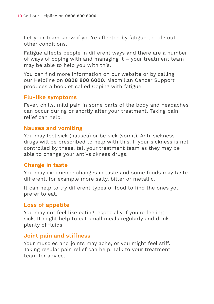Let your team know if you're affected by fatigue to rule out other conditions.

Fatigue affects people in different ways and there are a number of ways of coping with and managing it – your treatment team may be able to help you with this.

You can find more information on our website or by calling our Helpline on **0808 800 6000**. Macmillan Cancer Support produces a booklet called Coping with fatigue.

#### **Flu-like symptoms**

Fever, chills, mild pain in some parts of the body and headaches can occur during or shortly after your treatment. Taking pain relief can help.

#### **Nausea and vomiting**

You may feel sick (nausea) or be sick (vomit). Anti-sickness drugs will be prescribed to help with this. If your sickness is not controlled by these, tell your treatment team as they may be able to change your anti-sickness drugs.

#### **Change in taste**

You may experience changes in taste and some foods may taste different, for example more salty, bitter or metallic.

It can help to try different types of food to find the ones you prefer to eat.

#### **Loss of appetite**

You may not feel like eating, especially if you're feeling sick. It might help to eat small meals regularly and drink plenty of fluids.

#### **Joint pain and stiffness**

Your muscles and joints may ache, or you might feel stiff. Taking regular pain relief can help. Talk to your treatment team for advice.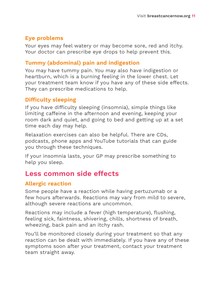#### **Eye problems**

Your eyes may feel watery or may become sore, red and itchy. Your doctor can prescribe eye drops to help prevent this.

#### **Tummy (abdominal) pain and indigestion**

You may have tummy pain. You may also have indigestion or heartburn, which is a burning feeling in the lower chest. Let your treatment team know if you have any of these side effects. They can prescribe medications to help.

#### **Difficulty sleeping**

If you have difficulty sleeping (insomnia), simple things like limiting caffeine in the afternoon and evening, keeping your room dark and quiet, and going to bed and getting up at a set time each day may help.

Relaxation exercises can also be helpful. There are CDs, podcasts, phone apps and YouTube tutorials that can guide you through these techniques.

If your insomnia lasts, your GP may prescribe something to help you sleep.

#### **Less common side effects**

#### **Allergic reaction**

Some people have a reaction while having pertuzumab or a few hours afterwards. Reactions may vary from mild to severe, although severe reactions are uncommon.

Reactions may include a fever (high temperature), flushing, feeling sick, faintness, shivering, chills, shortness of breath, wheezing, back pain and an itchy rash.

You'll be monitored closely during your treatment so that any reaction can be dealt with immediately. If you have any of these symptoms soon after your treatment, contact your treatment team straight away.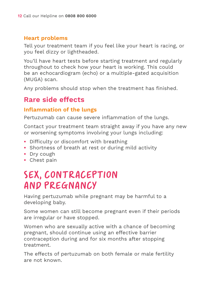#### **Heart problems**

Tell your treatment team if you feel like your heart is racing, or you feel dizzy or lightheaded.

You'll have heart tests before starting treatment and regularly throughout to check how your heart is working. This could be an echocardiogram (echo) or a multiple-gated acquisition (MUGA) scan.

Any problems should stop when the treatment has finished.

#### **Rare side effects**

#### **Inflammation of the lungs**

Pertuzumab can cause severe inflammation of the lungs.

Contact your treatment team straight away if you have any new or worsening symptoms involving your lungs including:

- **•** Difficulty or discomfort with breathing
- **•** Shortness of breath at rest or during mild activity
- **•** Dry cough
- **•** Chest pain

### SEX, CONTRACEPTION AND PREGNANCY

Having pertuzumab while pregnant may be harmful to a developing baby.

Some women can still become pregnant even if their periods are irregular or have stopped.

Women who are sexually active with a chance of becoming pregnant, should continue using an effective barrier contraception during and for six months after stopping treatment.

The effects of pertuzumab on both female or male fertility are not known.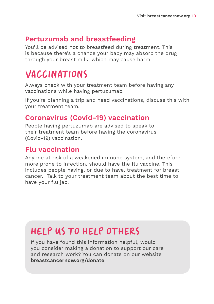#### **Pertuzumab and breastfeeding**

You'll be advised not to breastfeed during treatment. This is because there's a chance your baby may absorb the drug through your breast milk, which may cause harm.

### VACCINATIONS

Always check with your treatment team before having any vaccinations while having pertuzumab.

If you're planning a trip and need vaccinations, discuss this with your treatment team.

#### **Coronavirus (Covid-19) vaccination**

People having pertuzumab are advised to speak to their treatment team before having the coronavirus (Covid-19) vaccination.

#### **Flu vaccination**

Anyone at risk of a weakened immune system, and therefore more prone to infection, should have the flu vaccine. This includes people having, or due to have, treatment for breast cancer. Talk to your treatment team about the best time to have your flu jab.

### HELP US TO HELP OTHERS

If you have found this information helpful, would you consider making a donation to support our care and research work? You can donate on our website **breastcancernow.org/donate**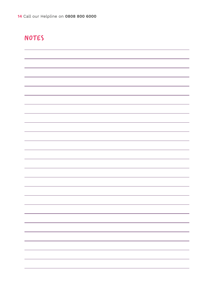#### NOTES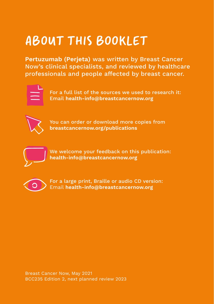# ABOUT THIS BOOKLET

**Pertuzumab (Perjeta)** was written by Breast Cancer Now's clinical specialists, and reviewed by healthcare professionals and people affected by breast cancer.



For a full list of the sources we used to research it: Email **health-info@breastcancernow.org**



You can order or download more copies from **breastcancernow.org/publications**



We welcome your feedback on this publication: **health-info@breastcancernow.org**



For a large print, Braille or audio CD version: Email **health-info@breastcancernow.org**

Breast Cancer Now, May 2021 BCC235 Edition 2, next planned review 2023